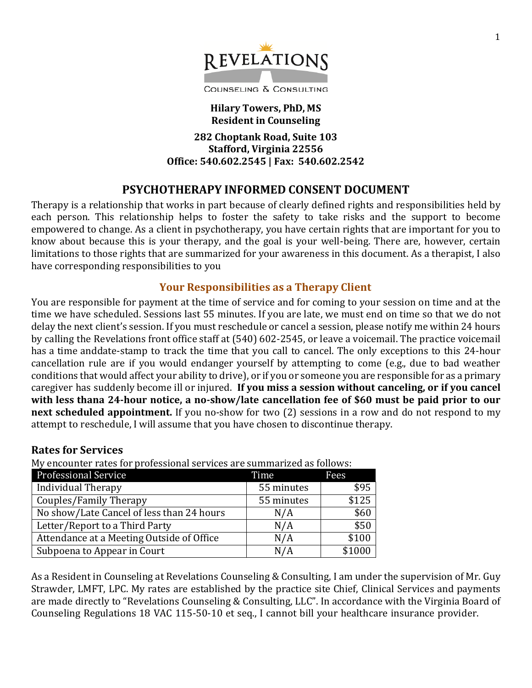

**Hilary Towers, PhD, MS Resident in Counseling**

**282 Choptank Road, Suite 103 Stafford, Virginia 22556 Office: 540.602.2545 | Fax: 540.602.2542**

# **PSYCHOTHERAPY INFORMED CONSENT DOCUMENT**

Therapy is a relationship that works in part because of clearly defined rights and responsibilities held by each person. This relationship helps to foster the safety to take risks and the support to become empowered to change. As a client in psychotherapy, you have certain rights that are important for you to know about because this is your therapy, and the goal is your well-being. There are, however, certain limitations to those rights that are summarized for your awareness in this document. As a therapist, I also have corresponding responsibilities to you

#### **Your Responsibilities as a Therapy Client**

You are responsible for payment at the time of service and for coming to your session on time and at the time we have scheduled. Sessions last 55 minutes. If you are late, we must end on time so that we do not delay the next client's session. If you must reschedule or cancel a session, please notify me within 24 hours by calling the Revelations front office staff at (540) 602-2545, or leave a voicemail. The practice voicemail has a time anddate-stamp to track the time that you call to cancel. The only exceptions to this 24-hour cancellation rule are if you would endanger yourself by attempting to come (e.g., due to bad weather conditions that would affect your ability to drive), or if you or someone you are responsible for as a primary caregiver has suddenly become ill or injured. **If you miss a session without canceling, or if you cancel with less thana 24-hour notice, a no-show/late cancellation fee of \$60 must be paid prior to our next scheduled appointment.** If you no-show for two (2) sessions in a row and do not respond to my attempt to reschedule, I will assume that you have chosen to discontinue therapy.

#### **Rates for Services**

My encounter rates for professional services are summarized as follows:

| <b>Professional Service</b>               | Time       | Fees   |
|-------------------------------------------|------------|--------|
| Individual Therapy                        | 55 minutes | \$95   |
| Couples/Family Therapy                    | 55 minutes | \$125  |
| No show/Late Cancel of less than 24 hours | N/A        | \$60   |
| Letter/Report to a Third Party            | N/A        | \$50   |
| Attendance at a Meeting Outside of Office | N/A        | \$100  |
| Subpoena to Appear in Court               | N/A        | \$1000 |

As a Resident in Counseling at Revelations Counseling & Consulting, I am under the supervision of Mr. Guy Strawder, LMFT, LPC. My rates are established by the practice site Chief, Clinical Services and payments are made directly to "Revelations Counseling & Consulting, LLC". In accordance with the Virginia Board of Counseling Regulations 18 VAC 115-50-10 et seq., I cannot bill your healthcare insurance provider.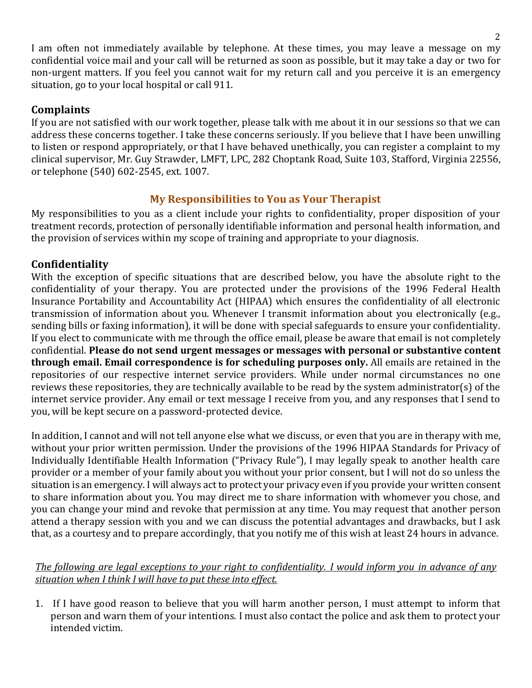I am often not immediately available by telephone. At these times, you may leave a message on my confidential voice mail and your call will be returned as soon as possible, but it may take a day or two for non-urgent matters. If you feel you cannot wait for my return call and you perceive it is an emergency situation, go to your local hospital or call 911.

## **Complaints**

If you are not satisfied with our work together, please talk with me about it in our sessions so that we can address these concerns together. I take these concerns seriously. If you believe that I have been unwilling to listen or respond appropriately, or that I have behaved unethically, you can register a complaint to my clinical supervisor, Mr. Guy Strawder, LMFT, LPC, 282 Choptank Road, Suite 103, Stafford, Virginia 22556, or telephone (540) 602-2545, ext. 1007.

# **My Responsibilities to You as Your Therapist**

My responsibilities to you as a client include your rights to confidentiality, proper disposition of your treatment records, protection of personally identifiable information and personal health information, and the provision of services within my scope of training and appropriate to your diagnosis.

# **Confidentiality**

With the exception of specific situations that are described below, you have the absolute right to the confidentiality of your therapy. You are protected under the provisions of the 1996 Federal Health Insurance Portability and Accountability Act (HIPAA) which ensures the confidentiality of all electronic transmission of information about you. Whenever I transmit information about you electronically (e.g., sending bills or faxing information), it will be done with special safeguards to ensure your confidentiality. If you elect to communicate with me through the office email, please be aware that email is not completely confidential. **Please do not send urgent messages or messages with personal or substantive content through email. Email correspondence is for scheduling purposes only.** All emails are retained in the repositories of our respective internet service providers. While under normal circumstances no one reviews these repositories, they are technically available to be read by the system administrator(s) of the internet service provider. Any email or text message I receive from you, and any responses that I send to you, will be kept secure on a password-protected device.

In addition, I cannot and will not tell anyone else what we discuss, or even that you are in therapy with me, without your prior written permission. Under the provisions of the 1996 HIPAA Standards for Privacy of Individually Identifiable Health Information ("Privacy Rule"), I may legally speak to another health care provider or a member of your family about you without your prior consent, but I will not do so unless the situation is an emergency. I will always act to protect your privacy even if you provide your written consent to share information about you. You may direct me to share information with whomever you chose, and you can change your mind and revoke that permission at any time. You may request that another person attend a therapy session with you and we can discuss the potential advantages and drawbacks, but I ask that, as a courtesy and to prepare accordingly, that you notify me of this wish at least 24 hours in advance.

## The following are legal exceptions to your right to confidentiality. I would inform you in advance of any *situation when I think I will have to put these into effect.*

1. If I have good reason to believe that you will harm another person, I must attempt to inform that person and warn them of your intentions. I must also contact the police and ask them to protect your intended victim.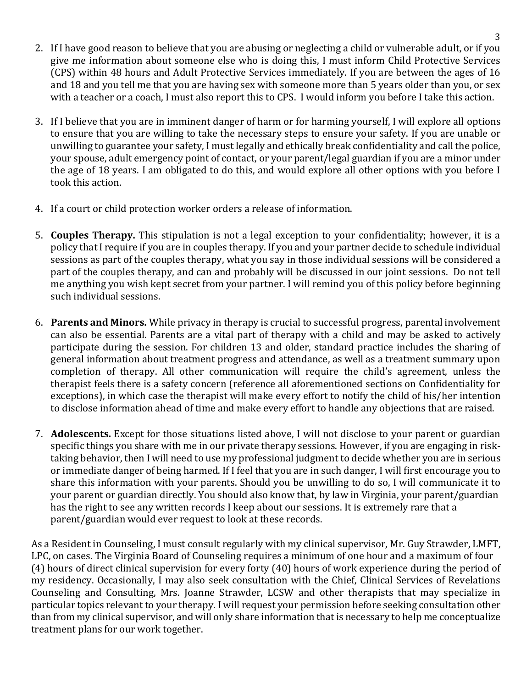- 2. If I have good reason to believe that you are abusing or neglecting a child or vulnerable adult, or if you give me information about someone else who is doing this, I must inform Child Protective Services (CPS) within 48 hours and Adult Protective Services immediately. If you are between the ages of 16 and 18 and you tell me that you are having sex with someone more than 5 years older than you, or sex with a teacher or a coach, I must also report this to CPS. I would inform you before I take this action.
- 3. If I believe that you are in imminent danger of harm or for harming yourself, I will explore all options to ensure that you are willing to take the necessary steps to ensure your safety. If you are unable or unwilling to guarantee your safety, I must legally and ethically break confidentiality and call the police, your spouse, adult emergency point of contact, or your parent/legal guardian if you are a minor under the age of 18 years. I am obligated to do this, and would explore all other options with you before I took this action.
- 4. If a court or child protection worker orders a release of information.
- 5. **Couples Therapy.** This stipulation is not a legal exception to your confidentiality; however, it is a policy that I require if you are in couples therapy. If you and your partner decide to schedule individual sessions as part of the couples therapy, what you say in those individual sessions will be considered a part of the couples therapy, and can and probably will be discussed in our joint sessions. Do not tell me anything you wish kept secret from your partner. I will remind you of this policy before beginning such individual sessions.
- 6. **Parents and Minors.** While privacy in therapy is crucial to successful progress, parental involvement can also be essential. Parents are a vital part of therapy with a child and may be asked to actively participate during the session. For children 13 and older, standard practice includes the sharing of general information about treatment progress and attendance, as well as a treatment summary upon completion of therapy. All other communication will require the child's agreement, unless the therapist feels there is a safety concern (reference all aforementioned sections on Confidentiality for exceptions), in which case the therapist will make every effort to notify the child of his/her intention to disclose information ahead of time and make every effort to handle any objections that are raised.
- 7. **Adolescents.** Except for those situations listed above, I will not disclose to your parent or guardian specific things you share with me in our private therapy sessions. However, if you are engaging in risktaking behavior, then I will need to use my professional judgment to decide whether you are in serious or immediate danger of being harmed. If I feel that you are in such danger, I will first encourage you to share this information with your parents. Should you be unwilling to do so, I will communicate it to your parent or guardian directly. You should also know that, by law in Virginia, your parent/guardian has the right to see any written records I keep about our sessions. It is extremely rare that a parent/guardian would ever request to look at these records.

As a Resident in Counseling, I must consult regularly with my clinical supervisor, Mr. Guy Strawder, LMFT, LPC, on cases. The Virginia Board of Counseling requires a minimum of one hour and a maximum of four (4) hours of direct clinical supervision for every forty (40) hours of work experience during the period of my residency. Occasionally, I may also seek consultation with the Chief, Clinical Services of Revelations Counseling and Consulting, Mrs. Joanne Strawder, LCSW and other therapists that may specialize in particular topics relevant to your therapy. I will request your permission before seeking consultation other than from my clinical supervisor, and will only share information that is necessary to help me conceptualize treatment plans for our work together.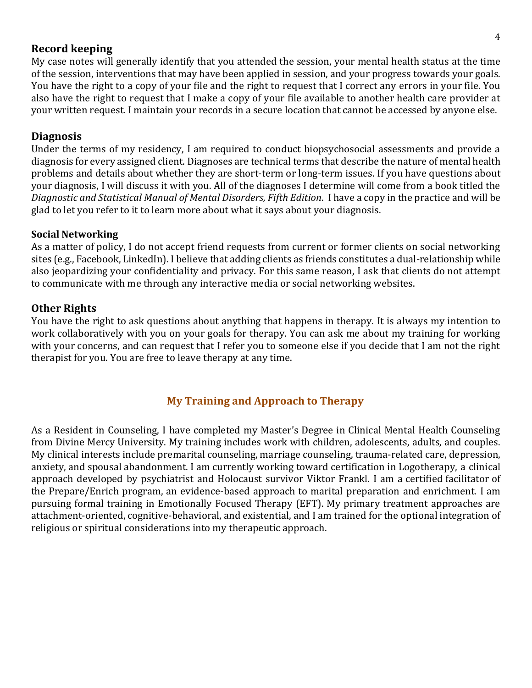### **Record keeping**

My case notes will generally identify that you attended the session, your mental health status at the time of the session, interventions that may have been applied in session, and your progress towards your goals. You have the right to a copy of your file and the right to request that I correct any errors in your file. You also have the right to request that I make a copy of your file available to another health care provider at your written request. I maintain your records in a secure location that cannot be accessed by anyone else.

#### **Diagnosis**

Under the terms of my residency, I am required to conduct biopsychosocial assessments and provide a diagnosis for every assigned client. Diagnoses are technical terms that describe the nature of mental health problems and details about whether they are short-term or long-term issues. If you have questions about your diagnosis, I will discuss it with you. All of the diagnoses I determine will come from a book titled the *Diagnostic and Statistical Manual of Mental Disorders, Fifth Edition*. I have a copy in the practice and will be glad to let you refer to it to learn more about what it says about your diagnosis.

#### **Social Networking**

As a matter of policy, I do not accept friend requests from current or former clients on social networking sites (e.g., Facebook, LinkedIn). I believe that adding clients as friends constitutes a dual-relationship while also jeopardizing your confidentiality and privacy. For this same reason, I ask that clients do not attempt to communicate with me through any interactive media or social networking websites.

#### **Other Rights**

You have the right to ask questions about anything that happens in therapy. It is always my intention to work collaboratively with you on your goals for therapy. You can ask me about my training for working with your concerns, and can request that I refer you to someone else if you decide that I am not the right therapist for you. You are free to leave therapy at any time.

## **My Training and Approach to Therapy**

As a Resident in Counseling, I have completed my Master's Degree in Clinical Mental Health Counseling from Divine Mercy University. My training includes work with children, adolescents, adults, and couples. My clinical interests include premarital counseling, marriage counseling, trauma-related care, depression, anxiety, and spousal abandonment. I am currently working toward certification in Logotherapy, a clinical approach developed by psychiatrist and Holocaust survivor Viktor Frankl. I am a certified facilitator of the Prepare/Enrich program, an evidence-based approach to marital preparation and enrichment. I am pursuing formal training in Emotionally Focused Therapy (EFT). My primary treatment approaches are attachment-oriented, cognitive-behavioral, and existential, and I am trained for the optional integration of religious or spiritual considerations into my therapeutic approach.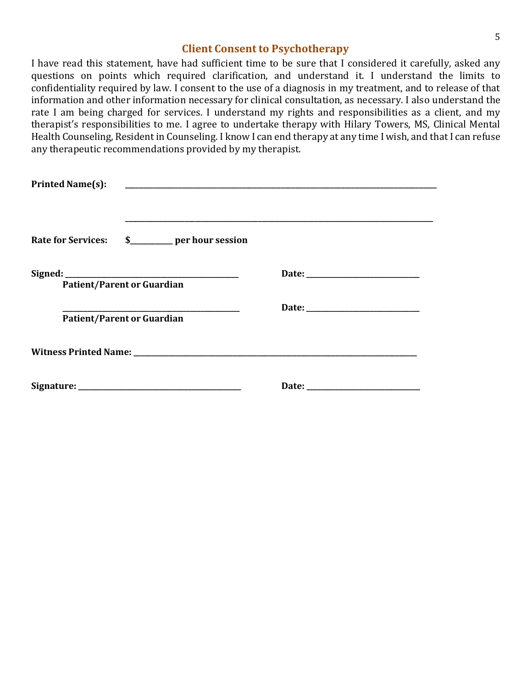## **Client Consent to Psychotherapy**

I have read this statement, have had sufficient time to be sure that I considered it carefully, asked any questions on points which required clarification, and understand it. I understand the limits to confidentiality required by law. I consent to the use of a diagnosis in my treatment, and to release of that information and other information necessary for clinical consultation, as necessary. I also understand the rate I am being charged for services. I understand my rights and responsibilities as a client, and my therapist's responsibilities to me. I agree to undertake therapy with Hilary Towers, MS, Clinical Mental Health Counseling, Resident in Counseling. I know I can end therapy at any time I wish, and that I can refuse any therapeutic recommendations provided by my therapist.

| <b>Printed Name(s):</b> | <u> 2000 - Jan James James Jan James James James James James James James James James James James James James Jam</u>                                                                                                           |  |
|-------------------------|--------------------------------------------------------------------------------------------------------------------------------------------------------------------------------------------------------------------------------|--|
|                         |                                                                                                                                                                                                                                |  |
|                         |                                                                                                                                                                                                                                |  |
|                         |                                                                                                                                                                                                                                |  |
|                         |                                                                                                                                                                                                                                |  |
|                         | <b>Patient/Parent or Guardian</b>                                                                                                                                                                                              |  |
|                         |                                                                                                                                                                                                                                |  |
|                         | <b>Patient/Parent or Guardian</b>                                                                                                                                                                                              |  |
|                         | Witness Printed Name: Name: Name: Name: Name: Name: Name: Name: Name: Name: Name: Name: Name: Name: Name: Name: Name: Name: Name: Name: Name: Name: Name: Name: Name: Name: Name: Name: Name: Name: Name: Name: Name: Name: Na |  |
|                         |                                                                                                                                                                                                                                |  |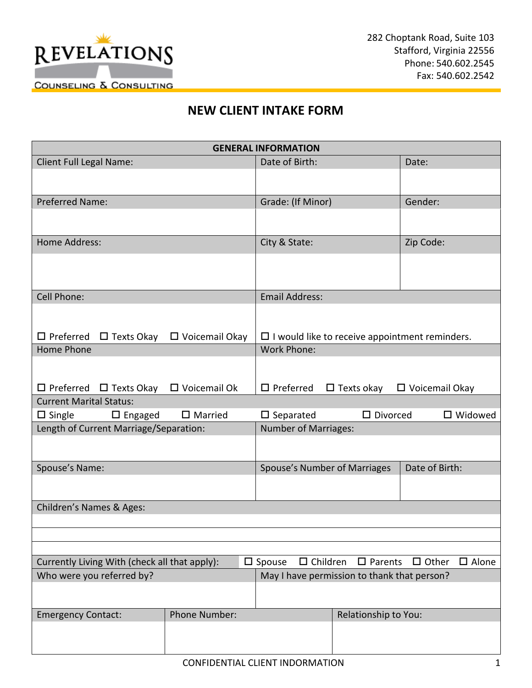

# **NEW CLIENT INTAKE FORM**

|                                                                                                                                     |                        | <b>GENERAL INFORMATION</b>                  |                      |                                                       |
|-------------------------------------------------------------------------------------------------------------------------------------|------------------------|---------------------------------------------|----------------------|-------------------------------------------------------|
| Client Full Legal Name:                                                                                                             |                        | Date of Birth:                              |                      | Date:                                                 |
|                                                                                                                                     |                        |                                             |                      |                                                       |
| <b>Preferred Name:</b>                                                                                                              |                        | Grade: (If Minor)                           |                      | Gender:                                               |
|                                                                                                                                     |                        |                                             |                      |                                                       |
|                                                                                                                                     |                        |                                             |                      |                                                       |
| <b>Home Address:</b>                                                                                                                |                        | City & State:                               |                      | Zip Code:                                             |
|                                                                                                                                     |                        |                                             |                      |                                                       |
|                                                                                                                                     |                        |                                             |                      |                                                       |
| Cell Phone:                                                                                                                         |                        | <b>Email Address:</b>                       |                      |                                                       |
|                                                                                                                                     |                        |                                             |                      |                                                       |
| $\Box$ Preferred $\Box$ Texts Okay                                                                                                  | $\Box$ Voicemail Okay  |                                             |                      | $\Box$ I would like to receive appointment reminders. |
| Home Phone                                                                                                                          |                        | <b>Work Phone:</b>                          |                      |                                                       |
|                                                                                                                                     |                        |                                             |                      |                                                       |
|                                                                                                                                     |                        |                                             |                      |                                                       |
| $\Box$ Preferred $\Box$ Texts Okay                                                                                                  | $\square$ Voicemail Ok | $\square$ Preferred                         |                      | $\Box$ Texts okay $\Box$ Voicemail Okay               |
| <b>Current Marital Status:</b><br>$\square$ Separated<br>$\square$ Divorced<br>$\Box$ Single<br>$\square$ Engaged<br>$\Box$ Married |                        |                                             | $\square$ Widowed    |                                                       |
| Length of Current Marriage/Separation:                                                                                              |                        | <b>Number of Marriages:</b>                 |                      |                                                       |
|                                                                                                                                     |                        |                                             |                      |                                                       |
|                                                                                                                                     |                        |                                             |                      |                                                       |
| Spouse's Name:                                                                                                                      |                        | Spouse's Number of Marriages                |                      | Date of Birth:                                        |
|                                                                                                                                     |                        |                                             |                      |                                                       |
| Children's Names & Ages:                                                                                                            |                        |                                             |                      |                                                       |
|                                                                                                                                     |                        |                                             |                      |                                                       |
|                                                                                                                                     |                        |                                             |                      |                                                       |
|                                                                                                                                     |                        |                                             |                      |                                                       |
| Currently Living With (check all that apply):                                                                                       |                        | $\Box$ Children<br>$\square$ Spouse         | $\square$ Parents    | $\square$ Alone<br>$\Box$ Other                       |
| Who were you referred by?                                                                                                           |                        | May I have permission to thank that person? |                      |                                                       |
|                                                                                                                                     |                        |                                             |                      |                                                       |
| <b>Emergency Contact:</b>                                                                                                           | Phone Number:          |                                             | Relationship to You: |                                                       |
|                                                                                                                                     |                        |                                             |                      |                                                       |
|                                                                                                                                     |                        |                                             |                      |                                                       |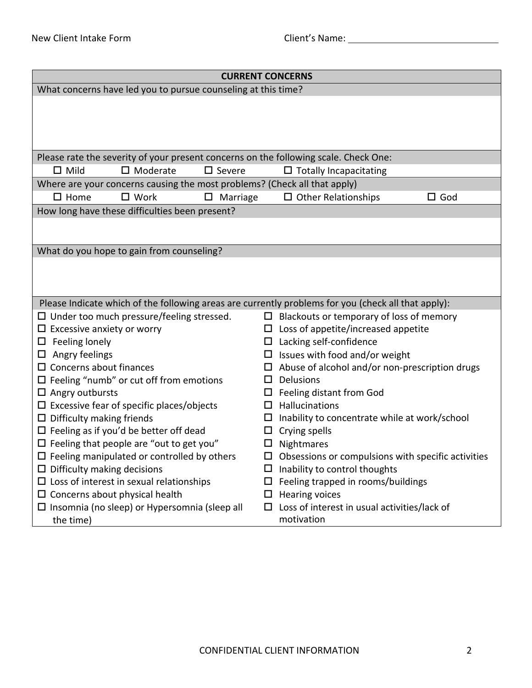| <b>CURRENT CONCERNS</b>            |                                                                           |                  |        |                                                                                                     |            |
|------------------------------------|---------------------------------------------------------------------------|------------------|--------|-----------------------------------------------------------------------------------------------------|------------|
|                                    | What concerns have led you to pursue counseling at this time?             |                  |        |                                                                                                     |            |
|                                    |                                                                           |                  |        |                                                                                                     |            |
|                                    |                                                                           |                  |        | Please rate the severity of your present concerns on the following scale. Check One:                |            |
| $\Box$ Mild                        | $\square$ Moderate                                                        | $\square$ Severe |        | $\Box$ Totally Incapacitating                                                                       |            |
|                                    | Where are your concerns causing the most problems? (Check all that apply) |                  |        |                                                                                                     |            |
| $\square$ Home                     | $\square$ Work                                                            | Marriage<br>□    |        | $\Box$ Other Relationships                                                                          | $\Box$ God |
|                                    | How long have these difficulties been present?                            |                  |        |                                                                                                     |            |
|                                    |                                                                           |                  |        |                                                                                                     |            |
|                                    | What do you hope to gain from counseling?                                 |                  |        |                                                                                                     |            |
|                                    |                                                                           |                  |        |                                                                                                     |            |
|                                    |                                                                           |                  |        | Please Indicate which of the following areas are currently problems for you (check all that apply): |            |
|                                    | $\Box$ Under too much pressure/feeling stressed.                          |                  |        | $\Box$ Blackouts or temporary of loss of memory                                                     |            |
| $\Box$ Excessive anxiety or worry  |                                                                           |                  |        | $\Box$ Loss of appetite/increased appetite                                                          |            |
| Feeling lonely<br>ц                |                                                                           |                  | □      | Lacking self-confidence                                                                             |            |
| Angry feelings<br>ц                |                                                                           |                  |        | Issues with food and/or weight                                                                      |            |
| $\Box$ Concerns about finances     |                                                                           |                  |        | Abuse of alcohol and/or non-prescription drugs                                                      |            |
|                                    | $\square$ Feeling "numb" or cut off from emotions                         |                  | LΙ     | Delusions                                                                                           |            |
| $\Box$ Angry outbursts             |                                                                           |                  | ப      | Feeling distant from God                                                                            |            |
|                                    | $\Box$ Excessive fear of specific places/objects                          |                  | П.     | Hallucinations                                                                                      |            |
| $\Box$ Difficulty making friends   |                                                                           |                  |        | Inability to concentrate while at work/school                                                       |            |
|                                    | $\Box$ Feeling as if you'd be better off dead                             |                  | □      | Crying spells                                                                                       |            |
|                                    | $\Box$ Feeling that people are "out to get you"                           |                  | $\Box$ | Nightmares                                                                                          |            |
|                                    | $\Box$ Feeling manipulated or controlled by others                        |                  |        | $\Box$ Obsessions or compulsions with specific activities                                           |            |
| $\Box$ Difficulty making decisions |                                                                           |                  |        | Inability to control thoughts                                                                       |            |
|                                    | $\Box$ Loss of interest in sexual relationships                           |                  | □      | Feeling trapped in rooms/buildings                                                                  |            |
|                                    | $\Box$ Concerns about physical health                                     |                  | ⊔      | <b>Hearing voices</b>                                                                               |            |
|                                    | $\Box$ Insomnia (no sleep) or Hypersomnia (sleep all                      |                  | $\Box$ | Loss of interest in usual activities/lack of                                                        |            |
| the time)                          |                                                                           |                  |        | motivation                                                                                          |            |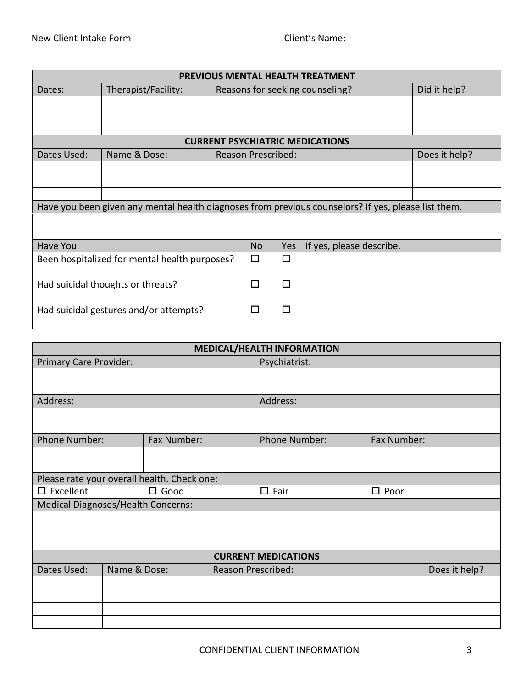| <b>PREVIOUS MENTAL HEALTH TREATMENT</b>                                                             |                     |   |                           |     |                                        |               |
|-----------------------------------------------------------------------------------------------------|---------------------|---|---------------------------|-----|----------------------------------------|---------------|
| Dates:                                                                                              | Therapist/Facility: |   |                           |     | Reasons for seeking counseling?        | Did it help?  |
|                                                                                                     |                     |   |                           |     |                                        |               |
|                                                                                                     |                     |   |                           |     |                                        |               |
|                                                                                                     |                     |   |                           |     |                                        |               |
|                                                                                                     |                     |   |                           |     | <b>CURRENT PSYCHIATRIC MEDICATIONS</b> |               |
| Dates Used:                                                                                         | Name & Dose:        |   | <b>Reason Prescribed:</b> |     |                                        | Does it help? |
|                                                                                                     |                     |   |                           |     |                                        |               |
|                                                                                                     |                     |   |                           |     |                                        |               |
|                                                                                                     |                     |   |                           |     |                                        |               |
| Have you been given any mental health diagnoses from previous counselors? If yes, please list them. |                     |   |                           |     |                                        |               |
|                                                                                                     |                     |   |                           |     |                                        |               |
|                                                                                                     |                     |   |                           |     |                                        |               |
| Have You                                                                                            |                     |   | <b>No</b>                 | Yes | If yes, please describe.               |               |
| Been hospitalized for mental health purposes?                                                       |                     | п | П                         |     |                                        |               |
| Had suicidal thoughts or threats?                                                                   |                     | П | п                         |     |                                        |               |
| Had suicidal gestures and/or attempts?<br>П<br>ΙI                                                   |                     |   |                           |     |                                        |               |

| <b>MEDICAL/HEALTH INFORMATION</b>           |                                                    |               |                           |                            |               |  |
|---------------------------------------------|----------------------------------------------------|---------------|---------------------------|----------------------------|---------------|--|
| Primary Care Provider:                      |                                                    | Psychiatrist: |                           |                            |               |  |
|                                             |                                                    |               |                           |                            |               |  |
| Address:                                    |                                                    |               |                           | Address:                   |               |  |
|                                             |                                                    |               |                           |                            |               |  |
| <b>Phone Number:</b>                        |                                                    | Fax Number:   |                           | Phone Number:              | Fax Number:   |  |
|                                             |                                                    |               |                           |                            |               |  |
| Please rate your overall health. Check one: |                                                    |               |                           |                            |               |  |
| $\square$ Excellent                         | $\square$ Good<br>$\square$ Fair<br>$\square$ Poor |               |                           |                            |               |  |
| <b>Medical Diagnoses/Health Concerns:</b>   |                                                    |               |                           |                            |               |  |
|                                             |                                                    |               |                           |                            |               |  |
|                                             |                                                    |               |                           |                            |               |  |
|                                             |                                                    |               |                           |                            |               |  |
|                                             |                                                    |               |                           | <b>CURRENT MEDICATIONS</b> |               |  |
| Dates Used:                                 | Name & Dose:                                       |               | <b>Reason Prescribed:</b> |                            | Does it help? |  |
|                                             |                                                    |               |                           |                            |               |  |
|                                             |                                                    |               |                           |                            |               |  |
|                                             |                                                    |               |                           |                            |               |  |
|                                             |                                                    |               |                           |                            |               |  |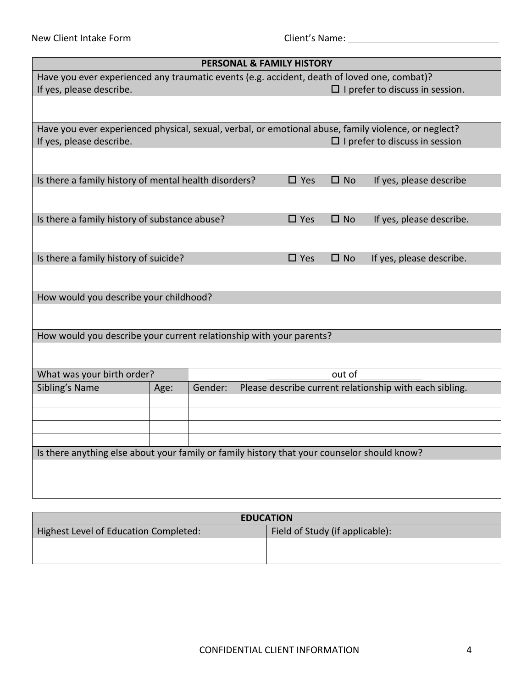| <b>PERSONAL &amp; FAMILY HISTORY</b>                                                                 |                                        |  |               |              |                                                         |  |
|------------------------------------------------------------------------------------------------------|----------------------------------------|--|---------------|--------------|---------------------------------------------------------|--|
| Have you ever experienced any traumatic events (e.g. accident, death of loved one, combat)?          |                                        |  |               |              |                                                         |  |
| If yes, please describe.                                                                             | $\Box$ I prefer to discuss in session. |  |               |              |                                                         |  |
|                                                                                                      |                                        |  |               |              |                                                         |  |
| Have you ever experienced physical, sexual, verbal, or emotional abuse, family violence, or neglect? |                                        |  |               |              |                                                         |  |
| If yes, please describe.                                                                             |                                        |  |               |              | $\Box$ I prefer to discuss in session                   |  |
|                                                                                                      |                                        |  |               |              |                                                         |  |
| Is there a family history of mental health disorders?                                                |                                        |  | $\square$ Yes | $\square$ No | If yes, please describe                                 |  |
|                                                                                                      |                                        |  |               |              |                                                         |  |
| Is there a family history of substance abuse?                                                        |                                        |  | $\square$ Yes | $\square$ No | If yes, please describe.                                |  |
|                                                                                                      |                                        |  |               |              |                                                         |  |
| Is there a family history of suicide?                                                                |                                        |  | $\square$ Yes | $\square$ No | If yes, please describe.                                |  |
|                                                                                                      |                                        |  |               |              |                                                         |  |
| How would you describe your childhood?                                                               |                                        |  |               |              |                                                         |  |
|                                                                                                      |                                        |  |               |              |                                                         |  |
| How would you describe your current relationship with your parents?                                  |                                        |  |               |              |                                                         |  |
|                                                                                                      |                                        |  |               |              |                                                         |  |
| What was your birth order?                                                                           |                                        |  |               | out of       |                                                         |  |
| Sibling's Name                                                                                       | Gender:<br>Age:                        |  |               |              | Please describe current relationship with each sibling. |  |
|                                                                                                      |                                        |  |               |              |                                                         |  |
|                                                                                                      |                                        |  |               |              |                                                         |  |
|                                                                                                      |                                        |  |               |              |                                                         |  |
| Is there anything else about your family or family history that your counselor should know?          |                                        |  |               |              |                                                         |  |
|                                                                                                      |                                        |  |               |              |                                                         |  |
|                                                                                                      |                                        |  |               |              |                                                         |  |
|                                                                                                      |                                        |  |               |              |                                                         |  |

| <b>EDUCATION</b>                      |                                 |  |  |
|---------------------------------------|---------------------------------|--|--|
| Highest Level of Education Completed: | Field of Study (if applicable): |  |  |
|                                       |                                 |  |  |
|                                       |                                 |  |  |